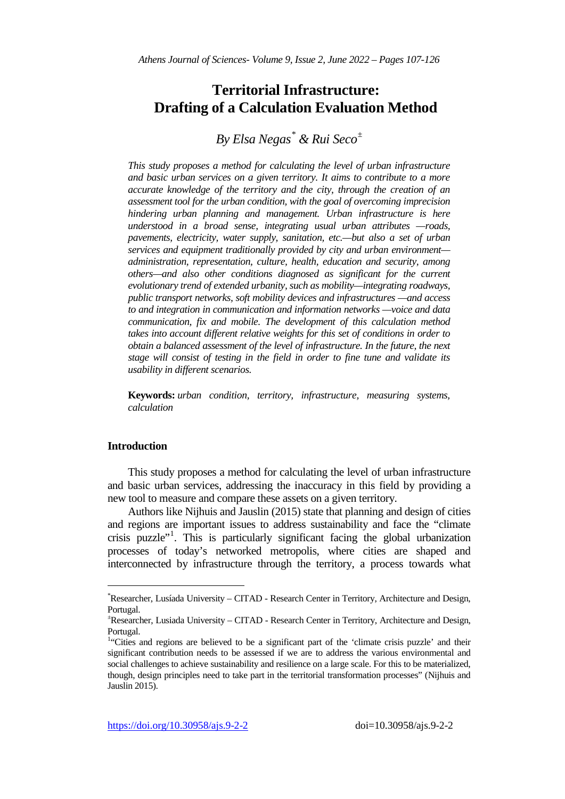# **Territorial Infrastructure: Drafting of a Calculation Evaluation Method**

# *By Elsa Negas[\\*](#page-0-0) & Rui Seco[±](#page-0-1)*

*This study proposes a method for calculating the level of urban infrastructure and basic urban services on a given territory. It aims to contribute to a more accurate knowledge of the territory and the city, through the creation of an assessment tool for the urban condition, with the goal of overcoming imprecision hindering urban planning and management. Urban infrastructure is here understood in a broad sense, integrating usual urban attributes —roads, pavements, electricity, water supply, sanitation, etc.—but also a set of urban services and equipment traditionally provided by city and urban environment administration, representation, culture, health, education and security, among others—and also other conditions diagnosed as significant for the current evolutionary trend of extended urbanity, such as mobility—integrating roadways, public transport networks, soft mobility devices and infrastructures —and access to and integration in communication and information networks —voice and data communication, fix and mobile. The development of this calculation method takes into account different relative weights for this set of conditions in order to obtain a balanced assessment of the level of infrastructure. In the future, the next stage will consist of testing in the field in order to fine tune and validate its usability in different scenarios.*

**Keywords:** *urban condition, territory, infrastructure, measuring systems, calculation*

## **Introduction**

j

This study proposes a method for calculating the level of urban infrastructure and basic urban services, addressing the inaccuracy in this field by providing a new tool to measure and compare these assets on a given territory.

Authors like Nijhuis and Jauslin (2015) state that planning and design of cities and regions are important issues to address sustainability and face the "climate crisis puzzle"<sup>[1](#page-0-2)</sup>. This is particularly significant facing the global urbanization processes of today's networked metropolis, where cities are shaped and interconnected by infrastructure through the territory, a process towards what

<span id="page-0-0"></span><sup>\*</sup> Researcher, Lusíada University – CITAD - Research Center in Territory, Architecture and Design, Portugal.

<span id="page-0-1"></span><sup>±</sup> Researcher, Lusiada University – CITAD - Research Center in Territory, Architecture and Design, Portugal.

<span id="page-0-2"></span><sup>&</sup>lt;sup>1</sup>"Cities and regions are believed to be a significant part of the 'climate crisis puzzle' and their significant contribution needs to be assessed if we are to address the various environmental and social challenges to achieve sustainability and resilience on a large scale. For this to be materialized, though, design principles need to take part in the territorial transformation processes" (Nijhuis and Jauslin 2015).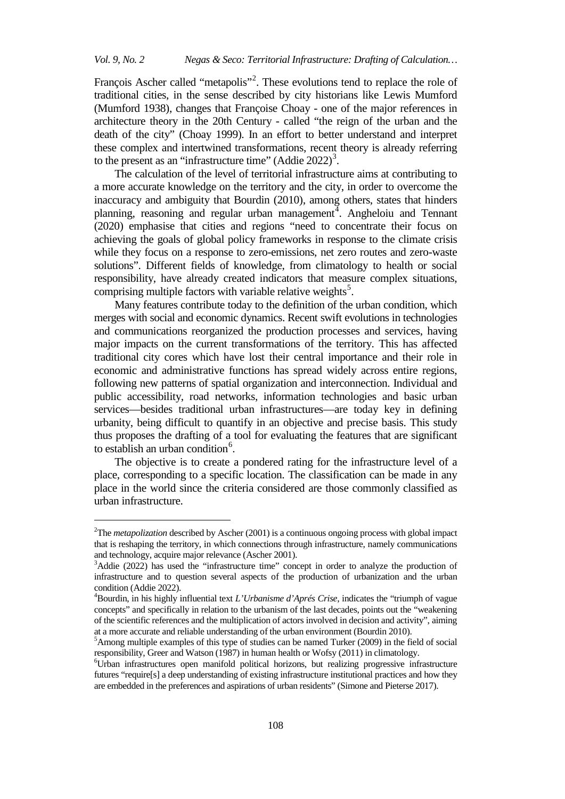François Ascher called "metapolis"<sup>[2](#page-1-0)</sup>. These evolutions tend to replace the role of traditional cities, in the sense described by city historians like Lewis Mumford (Mumford 1938), changes that Françoise Choay - one of the major references in architecture theory in the 20th Century - called "the reign of the urban and the death of the city" (Choay 1999). In an effort to better understand and interpret these complex and intertwined transformations, recent theory is already referring to the present as an "infrastructure time" (Addie 2022)<sup>[3](#page-1-1)</sup>.

The calculation of the level of territorial infrastructure aims at contributing to a more accurate knowledge on the territory and the city, in order to overcome the inaccuracy and ambiguity that Bourdin (2010), among others, states that hinders planning, reasoning and regular urban management<sup>[4](#page-1-2)</sup>. Angheloiu and Tennant (2020) emphasise that cities and regions "need to concentrate their focus on achieving the goals of global policy frameworks in response to the climate crisis while they focus on a response to zero-emissions, net zero routes and zero-waste solutions". Different fields of knowledge, from climatology to health or social responsibility, have already created indicators that measure complex situations, comprising multiple factors with variable relative weights<sup>[5](#page-1-3)</sup>.

Many features contribute today to the definition of the urban condition, which merges with social and economic dynamics. Recent swift evolutions in technologies and communications reorganized the production processes and services, having major impacts on the current transformations of the territory. This has affected traditional city cores which have lost their central importance and their role in economic and administrative functions has spread widely across entire regions, following new patterns of spatial organization and interconnection. Individual and public accessibility, road networks, information technologies and basic urban services—besides traditional urban infrastructures—are today key in defining urbanity, being difficult to quantify in an objective and precise basis. This study thus proposes the drafting of a tool for evaluating the features that are significant to establish an urban condition<sup>[6](#page-1-4)</sup>.

The objective is to create a pondered rating for the infrastructure level of a place, corresponding to a specific location. The classification can be made in any place in the world since the criteria considered are those commonly classified as urban infrastructure.

j

<span id="page-1-0"></span><sup>&</sup>lt;sup>2</sup>The *metapolization* described by Ascher (2001) is a continuous ongoing process with global impact that is reshaping the territory, in which connections through infrastructure, namely communications and technology, acquire major relevance (Ascher 2001).

<span id="page-1-1"></span> $A<sup>3</sup>$ Addie (2022) has used the "infrastructure time" concept in order to analyze the production of infrastructure and to question several aspects of the production of urbanization and the urban condition (Addie 2022).

<span id="page-1-2"></span><sup>4</sup> Bourdin, in his highly influential text *L'Urbanisme d'Aprés Crise*, indicates the "triumph of vague concepts" and specifically in relation to the urbanism of the last decades, points out the "weakening of the scientific references and the multiplication of actors involved in decision and activity", aiming at a more accurate and reliable understanding of the urban environment (Bourdin 2010).

<span id="page-1-3"></span><sup>&</sup>lt;sup>5</sup> Among multiple examples of this type of studies can be named Turker (2009) in the field of social responsibility, Greer and Watson (1987) in human health or Wofsy (2011) in climatology.

<span id="page-1-4"></span><sup>6</sup> Urban infrastructures open manifold political horizons, but realizing progressive infrastructure futures "require[s] a deep understanding of existing infrastructure institutional practices and how they are embedded in the preferences and aspirations of urban residents" (Simone and Pieterse [2017\)](https://www.tandfonline.com/doi/full/10.1080/10630732.2021.2001716?scroll=top&needAccess=true).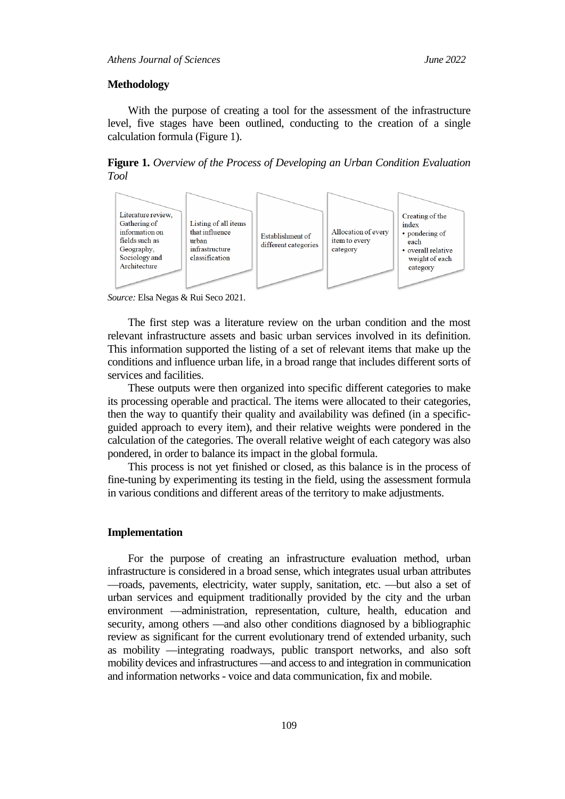#### **Methodology**

With the purpose of creating a tool for the assessment of the infrastructure level, five stages have been outlined, conducting to the creation of a single calculation formula (Figure 1).

**Figure 1.** *Overview of the Process of Developing an Urban Condition Evaluation Tool* 



*Source:* Elsa Negas & Rui Seco 2021.

The first step was a literature review on the urban condition and the most relevant infrastructure assets and basic urban services involved in its definition. This information supported the listing of a set of relevant items that make up the conditions and influence urban life, in a broad range that includes different sorts of services and facilities.

These outputs were then organized into specific different categories to make its processing operable and practical. The items were allocated to their categories, then the way to quantify their quality and availability was defined (in a specificguided approach to every item), and their relative weights were pondered in the calculation of the categories. The overall relative weight of each category was also pondered, in order to balance its impact in the global formula.

This process is not yet finished or closed, as this balance is in the process of fine-tuning by experimenting its testing in the field, using the assessment formula in various conditions and different areas of the territory to make adjustments.

#### **Implementation**

For the purpose of creating an infrastructure evaluation method, urban infrastructure is considered in a broad sense, which integrates usual urban attributes —roads, pavements, electricity, water supply, sanitation, etc. —but also a set of urban services and equipment traditionally provided by the city and the urban environment —administration, representation, culture, health, education and security, among others —and also other conditions diagnosed by a bibliographic review as significant for the current evolutionary trend of extended urbanity, such as mobility —integrating roadways, public transport networks, and also soft mobility devices and infrastructures —and access to and integration in communication and information networks - voice and data communication, fix and mobile.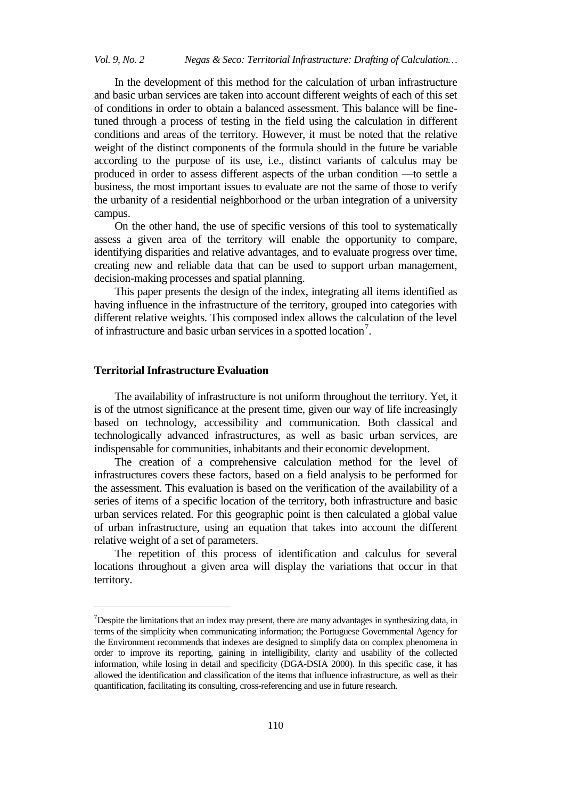In the development of this method for the calculation of urban infrastructure and basic urban services are taken into account different weights of each of this set of conditions in order to obtain a balanced assessment. This balance will be finetuned through a process of testing in the field using the calculation in different conditions and areas of the territory. However, it must be noted that the relative weight of the distinct components of the formula should in the future be variable according to the purpose of its use, i.e., distinct variants of calculus may be produced in order to assess different aspects of the urban condition —to settle a business, the most important issues to evaluate are not the same of those to verify the urbanity of a residential neighborhood or the urban integration of a university campus.

On the other hand, the use of specific versions of this tool to systematically assess a given area of the territory will enable the opportunity to compare, identifying disparities and relative advantages, and to evaluate progress over time, creating new and reliable data that can be used to support urban management, decision-making processes and spatial planning.

This paper presents the design of the index, integrating all items identified as having influence in the infrastructure of the territory, grouped into categories with different relative weights. This composed index allows the calculation of the level of infrastructure and basic urban services in a spotted location<sup>[7](#page-3-0)</sup>.

## **Territorial Infrastructure Evaluation**

j

The availability of infrastructure is not uniform throughout the territory. Yet, it is of the utmost significance at the present time, given our way of life increasingly based on technology, accessibility and communication. Both classical and technologically advanced infrastructures, as well as basic urban services, are indispensable for communities, inhabitants and their economic development.

The creation of a comprehensive calculation method for the level of infrastructures covers these factors, based on a field analysis to be performed for the assessment. This evaluation is based on the verification of the availability of a series of items of a specific location of the territory, both infrastructure and basic urban services related. For this geographic point is then calculated a global value of urban infrastructure, using an equation that takes into account the different relative weight of a set of parameters.

The repetition of this process of identification and calculus for several locations throughout a given area will display the variations that occur in that territory.

<span id="page-3-0"></span><sup>&</sup>lt;sup>7</sup>Despite the limitations that an index may present, there are many advantages in synthesizing data, in terms of the simplicity when communicating information; the Portuguese Governmental Agency for the Environment recommends that indexes are designed to simplify data on complex phenomena in order to improve its reporting, gaining in intelligibility, clarity and usability of the collected information, while losing in detail and specificity (DGA-DSIA 2000). In this specific case, it has allowed the identification and classification of the items that influence infrastructure, as well as their quantification, facilitating its consulting, cross-referencing and use in future research.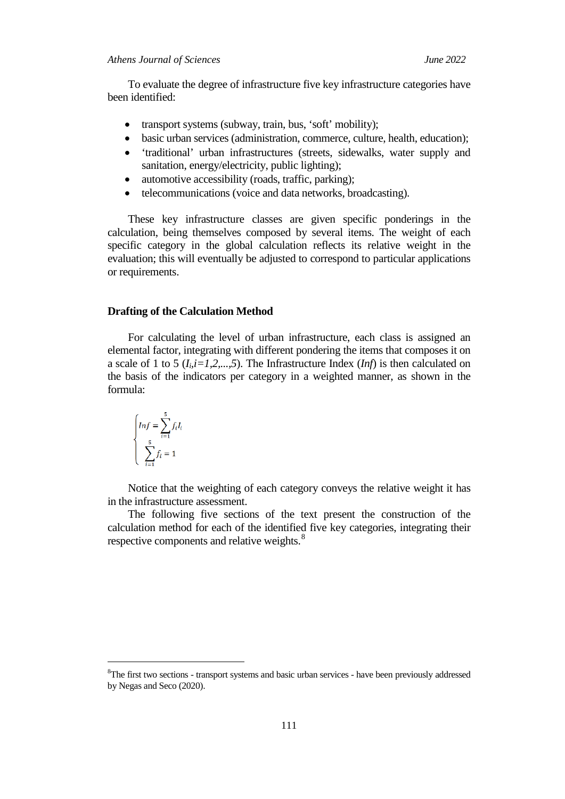To evaluate the degree of infrastructure five key infrastructure categories have been identified:

- transport systems (subway, train, bus, 'soft' mobility);
- basic urban services (administration, commerce, culture, health, education);
- 'traditional' urban infrastructures (streets, sidewalks, water supply and sanitation, energy/electricity, public lighting);
- automotive accessibility (roads, traffic, parking);
- telecommunications (voice and data networks, broadcasting).

These key infrastructure classes are given specific ponderings in the calculation, being themselves composed by several items. The weight of each specific category in the global calculation reflects its relative weight in the evaluation; this will eventually be adjusted to correspond to particular applications or requirements.

#### **Drafting of the Calculation Method**

For calculating the level of urban infrastructure, each class is assigned an elemental factor, integrating with different pondering the items that composes it on a scale of 1 to 5  $(I_i, i=1,2,...,5)$ . The Infrastructure Index  $(Inf)$  is then calculated on the basis of the indicators per category in a weighted manner, as shown in the formula:

$$
\begin{cases}\nInf = \sum_{i=1}^{5} f_i I_i \\
\sum_{i=1}^{5} f_i = 1\n\end{cases}
$$

j

Notice that the weighting of each category conveys the relative weight it has in the infrastructure assessment.

The following five sections of the text present the construction of the calculation method for each of the identified five key categories, integrating their respective components and relative weights.<sup>[8](#page-4-0)</sup>

<span id="page-4-0"></span><sup>&</sup>lt;sup>8</sup>The first two sections - transport systems and basic urban services - have been previously addressed by Negas and Seco (2020).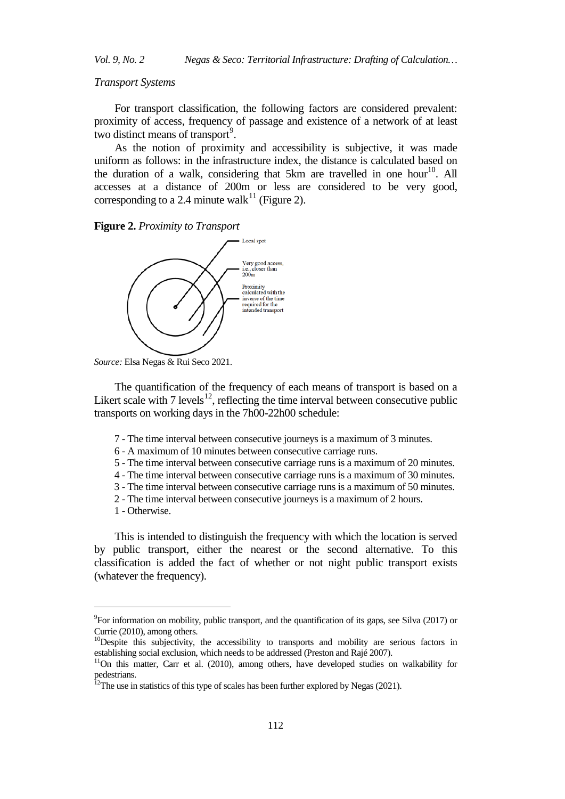#### *Transport Systems*

For transport classification, the following factors are considered prevalent: proximity of access, frequency of passage and existence of a network of at least two distinct means of transport<sup>[9](#page-5-0)</sup>.

As the notion of proximity and accessibility is subjective, it was made uniform as follows: in the infrastructure index, the distance is calculated based on the duration of a walk, considering that 5km are travelled in one hour<sup>[10](#page-5-1)</sup>. All accesses at a distance of 200m or less are considered to be very good, corresponding to a 2.4 minute walk<sup>[11](#page-5-2)</sup> (Figure 2).





*Source:* Elsa Negas & Rui Seco 2021.

The quantification of the frequency of each means of transport is based on a Likert scale with  $7$  levels<sup>12</sup>, reflecting the time interval between consecutive public transports on working days in the 7h00-22h00 schedule:

- 7 The time interval between consecutive journeys is a maximum of 3 minutes.
- 6 A maximum of 10 minutes between consecutive carriage runs.
- 5 The time interval between consecutive carriage runs is a maximum of 20 minutes.
- 4 The time interval between consecutive carriage runs is a maximum of 30 minutes.
- 3 The time interval between consecutive carriage runs is a maximum of 50 minutes.
- 2 The time interval between consecutive journeys is a maximum of 2 hours.
- 1 Otherwise.

j

This is intended to distinguish the frequency with which the location is served by public transport, either the nearest or the second alternative. To this classification is added the fact of whether or not night public transport exists (whatever the frequency).

<span id="page-5-0"></span><sup>&</sup>lt;sup>9</sup> For information on mobility, public transport, and the quantification of its gaps, see Silva (2017) or

<span id="page-5-1"></span>Currie (2010), among others.<br><sup>10</sup>Despite this subjectivity, the accessibility to transports and mobility are serious factors in establishing social exclusion, which needs to be addressed (Preston and Rajé 2007).

<span id="page-5-2"></span> $11$ On this matter, Carr et al. (2010), among others, have developed studies on walkability for pedestrians.

<span id="page-5-3"></span> $12$ The use in statistics of this type of scales has been further explored by Negas (2021).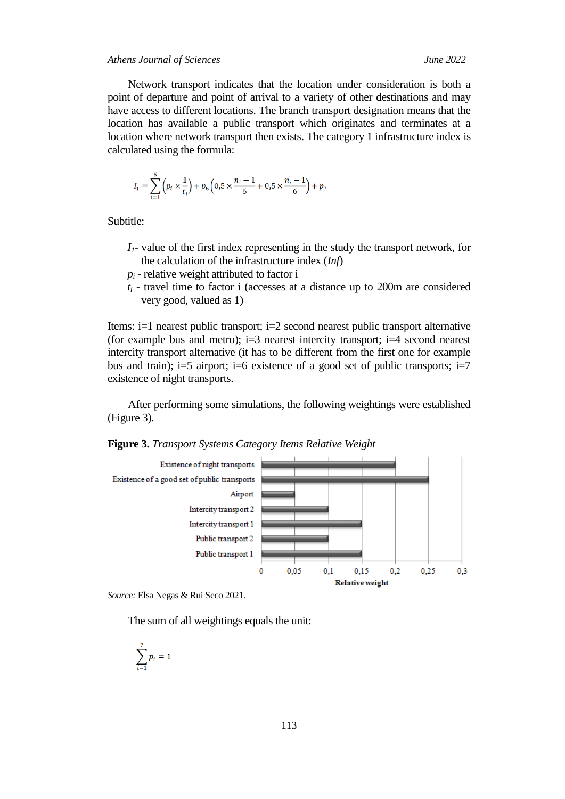## *Athens Journal of Sciences June 2022*

Network transport indicates that the location under consideration is both a point of departure and point of arrival to a variety of other destinations and may have access to different locations. The branch transport designation means that the location has available a public transport which originates and terminates at a location where network transport then exists. The category 1 infrastructure index is calculated using the formula:

$$
I_1 = \sum_{i=1}^{5} \left( p_i \times \frac{1}{t_i} \right) + p_6 \left( 0.5 \times \frac{n_i - 1}{6} + 0.5 \times \frac{n_i - 1}{6} \right) + p_7
$$

Subtitle:

- *I1* value of the first index representing in the study the transport network, for the calculation of the infrastructure index (*Inf*)
- $p_i$  relative weight attributed to factor i
- $t_i$  travel time to factor i (accesses at a distance up to 200m are considered very good, valued as 1)

Items: i=1 nearest public transport; i=2 second nearest public transport alternative (for example bus and metro);  $i=3$  nearest intercity transport;  $i=4$  second nearest intercity transport alternative (it has to be different from the first one for example bus and train);  $i=5$  airport;  $i=6$  existence of a good set of public transports;  $i=7$ existence of night transports.

After performing some simulations, the following weightings were established (Figure 3).

**Figure 3.** *Transport Systems Category Items Relative Weight*



*Source:* Elsa Negas & Rui Seco 2021.

The sum of all weightings equals the unit:

$$
\sum_{i=1}^7 p_i = 1
$$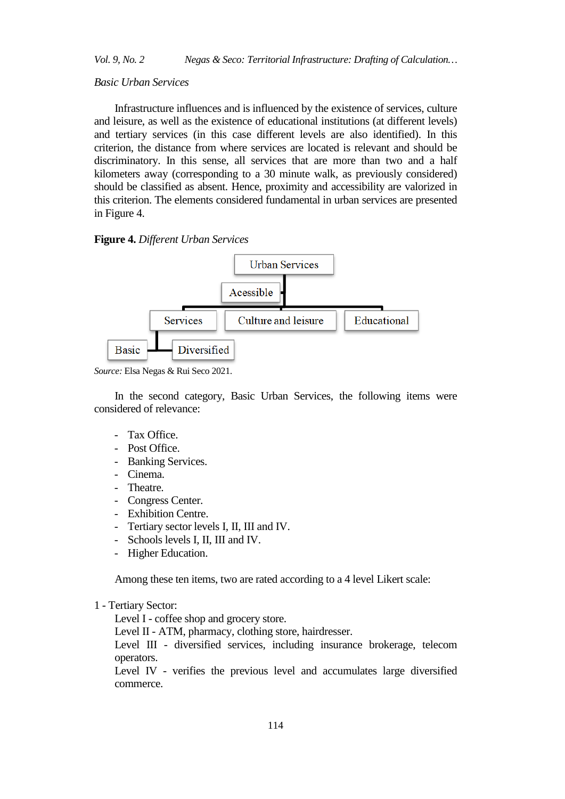#### *Basic Urban Services*

Infrastructure influences and is influenced by the existence of services, culture and leisure, as well as the existence of educational institutions (at different levels) and tertiary services (in this case different levels are also identified). In this criterion, the distance from where services are located is relevant and should be discriminatory. In this sense, all services that are more than two and a half kilometers away (corresponding to a 30 minute walk, as previously considered) should be classified as absent. Hence, proximity and accessibility are valorized in this criterion. The elements considered fundamental in urban services are presented in Figure 4.

#### **Figure 4.** *Different Urban Services*



*Source:* Elsa Negas & Rui Seco 2021.

In the second category, Basic Urban Services, the following items were considered of relevance:

- Tax Office.
- Post Office.
- Banking Services.
- Cinema.
- Theatre.
- Congress Center.
- Exhibition Centre.
- Tertiary sector levels I, II, III and IV.
- Schools levels I, II, III and IV.
- Higher Education.

Among these ten items, two are rated according to a 4 level Likert scale:

#### 1 - Tertiary Sector:

Level I - coffee shop and grocery store.

Level II - ATM, pharmacy, clothing store, hairdresser.

Level III - diversified services, including insurance brokerage, telecom operators.

Level IV - verifies the previous level and accumulates large diversified commerce.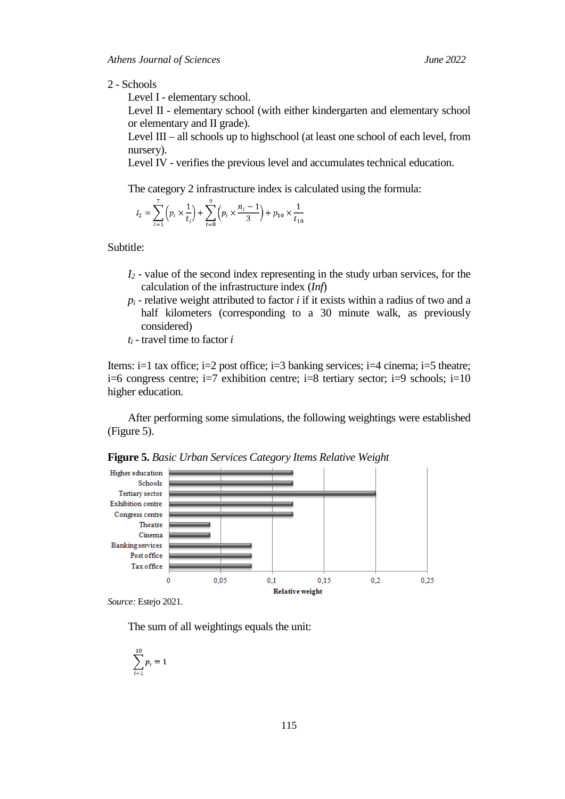#### 2 - Schools

Level I - elementary school.

Level II - elementary school (with either kindergarten and elementary school or elementary and II grade).

Level III – all schools up to highschool (at least one school of each level, from nursery).

Level IV - verifies the previous level and accumulates technical education.

The category 2 infrastructure index is calculated using the formula:

$$
I_2 = \sum_{i=1}^{1} \left( p_i \times \frac{1}{t_i} \right) + \sum_{i=8}^{1} \left( p_i \times \frac{n_i - 1}{3} \right) + p_{10} \times \frac{1}{t_{10}}
$$

Subtitle:

- *I2* value of the second index representing in the study urban services, for the calculation of the infrastructure index (*Inf*)
- *pi* relative weight attributed to factor *i* if it exists within a radius of two and a half kilometers (corresponding to a 30 minute walk, as previously considered)
- *ti* travel time to factor *i*

Items:  $i=1$  tax office;  $i=2$  post office;  $i=3$  banking services;  $i=4$  cinema;  $i=5$  theatre;  $i=6$  congress centre;  $i=7$  exhibition centre;  $i=8$  tertiary sector;  $i=9$  schools;  $i=10$ higher education.

After performing some simulations, the following weightings were established (Figure 5).



**Figure 5.** *Basic Urban Services Category Items Relative Weight*

*Source:* Estejo 2021.

The sum of all weightings equals the unit:

$$
\sum_{i=1}^{10} p_i = 1
$$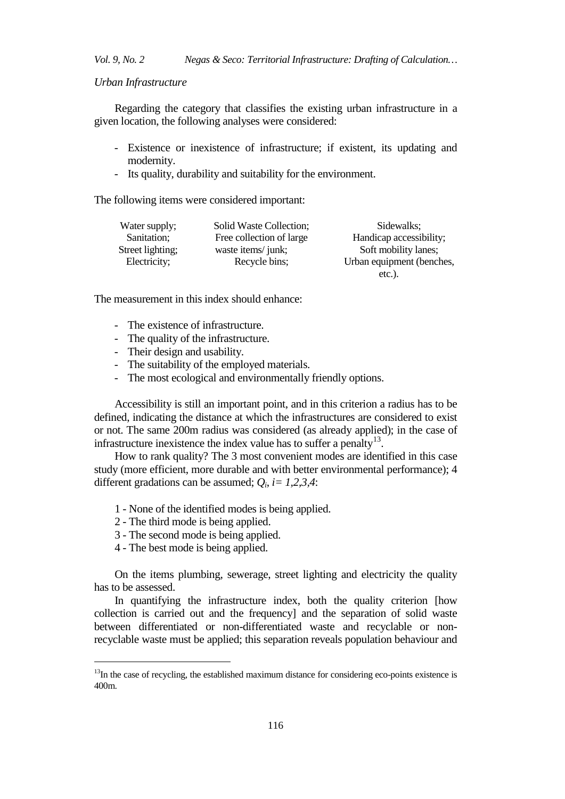#### *Urban Infrastructure*

Regarding the category that classifies the existing urban infrastructure in a given location, the following analyses were considered:

- Existence or inexistence of infrastructure; if existent, its updating and modernity.
- Its quality, durability and suitability for the environment.

The following items were considered important:

| Water supply;    | Solid Waste Collection;  | Sidewalks;                |
|------------------|--------------------------|---------------------------|
| Sanitation;      | Free collection of large | Handicap accessibility;   |
| Street lighting; | waste items/junk;        | Soft mobility lanes;      |
| Electricity;     | Recycle bins;            | Urban equipment (benches, |
|                  |                          | $etc.$ ).                 |

The measurement in this index should enhance:

- The existence of infrastructure.
- The quality of the infrastructure.
- Their design and usability.
- The suitability of the employed materials.
- The most ecological and environmentally friendly options.

Accessibility is still an important point, and in this criterion a radius has to be defined, indicating the distance at which the infrastructures are considered to exist or not. The same 200m radius was considered (as already applied); in the case of infrastructure inexistence the index value has to suffer a penalty $^{13}$ .

How to rank quality? The 3 most convenient modes are identified in this case study (more efficient, more durable and with better environmental performance); 4 different gradations can be assumed; *Qi*, *i= 1,2,3,4*:

- 1 None of the identified modes is being applied.
- 2 The third mode is being applied.
- 3 The second mode is being applied.
- 4 The best mode is being applied.

j

On the items plumbing, sewerage, street lighting and electricity the quality has to be assessed.

In quantifying the infrastructure index, both the quality criterion [how collection is carried out and the frequency] and the separation of solid waste between differentiated or non-differentiated waste and recyclable or nonrecyclable waste must be applied; this separation reveals population behaviour and

<span id="page-9-0"></span> $13$ In the case of recycling, the established maximum distance for considering eco-points existence is 400m.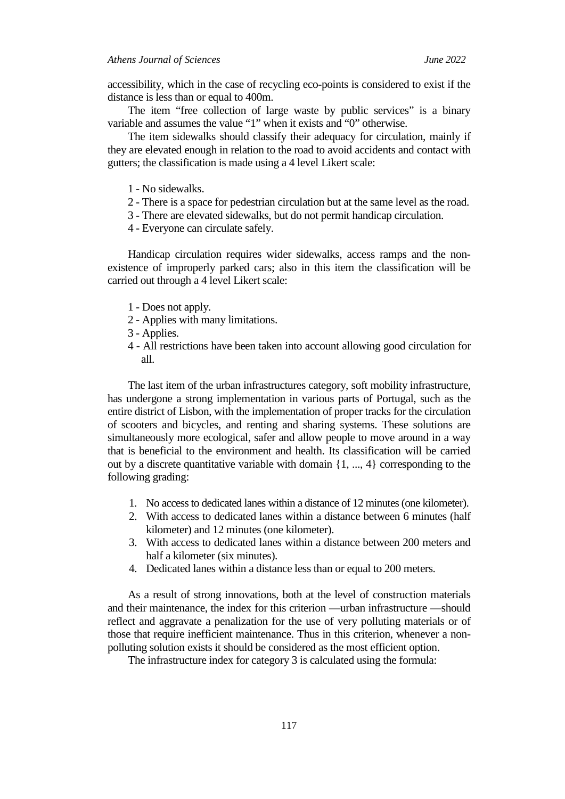accessibility, which in the case of recycling eco-points is considered to exist if the distance is less than or equal to 400m.

The item "free collection of large waste by public services" is a binary variable and assumes the value "1" when it exists and "0" otherwise.

The item sidewalks should classify their adequacy for circulation, mainly if they are elevated enough in relation to the road to avoid accidents and contact with gutters; the classification is made using a 4 level Likert scale:

- 1 No sidewalks.
- 2 There is a space for pedestrian circulation but at the same level as the road.
- 3 There are elevated sidewalks, but do not permit handicap circulation.
- 4 Everyone can circulate safely.

Handicap circulation requires wider sidewalks, access ramps and the nonexistence of improperly parked cars; also in this item the classification will be carried out through a 4 level Likert scale:

- 1 Does not apply.
- 2 Applies with many limitations.
- 3 Applies.
- 4 All restrictions have been taken into account allowing good circulation for all.

The last item of the urban infrastructures category, soft mobility infrastructure, has undergone a strong implementation in various parts of Portugal, such as the entire district of Lisbon, with the implementation of proper tracks for the circulation of scooters and bicycles, and renting and sharing systems. These solutions are simultaneously more ecological, safer and allow people to move around in a way that is beneficial to the environment and health. Its classification will be carried out by a discrete quantitative variable with domain {1, ..., 4} corresponding to the following grading:

- 1. No access to dedicated lanes within a distance of 12 minutes (one kilometer).
- 2. With access to dedicated lanes within a distance between 6 minutes (half kilometer) and 12 minutes (one kilometer).
- 3. With access to dedicated lanes within a distance between 200 meters and half a kilometer (six minutes).
- 4. Dedicated lanes within a distance less than or equal to 200 meters.

As a result of strong innovations, both at the level of construction materials and their maintenance, the index for this criterion —urban infrastructure —should reflect and aggravate a penalization for the use of very polluting materials or of those that require inefficient maintenance. Thus in this criterion, whenever a nonpolluting solution exists it should be considered as the most efficient option.

The infrastructure index for category 3 is calculated using the formula: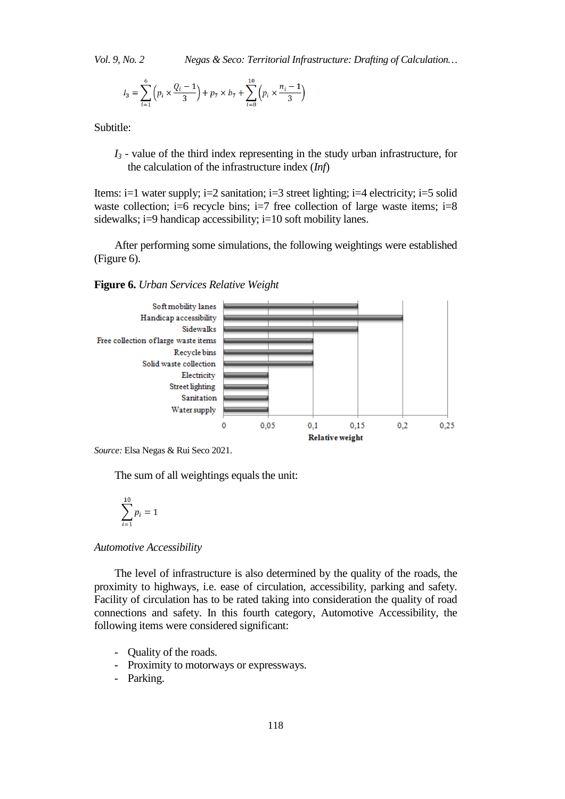$$
I_3 = \sum_{i=1}^{6} \left( p_i \times \frac{Q_i - 1}{3} \right) + p_7 \times b_7 + \sum_{i=8}^{10} \left( p_i \times \frac{n_i - 1}{3} \right)
$$

Subtitle:

*I3* - value of the third index representing in the study urban infrastructure, for the calculation of the infrastructure index (*Inf*)

Items: i=1 water supply; i=2 sanitation; i=3 street lighting; i=4 electricity; i=5 solid waste collection; i=6 recycle bins; i=7 free collection of large waste items; i=8 sidewalks; i=9 handicap accessibility; i=10 soft mobility lanes.

After performing some simulations, the following weightings were established (Figure 6).

**Figure 6.** *Urban Services Relative Weight*



*Source:* Elsa Negas & Rui Seco 2021.

The sum of all weightings equals the unit:

$$
\sum_{i=1}^{10} p_i = 1
$$

*Automotive Accessibility*

The level of infrastructure is also determined by the quality of the roads, the proximity to highways, i.e. ease of circulation, accessibility, parking and safety. Facility of circulation has to be rated taking into consideration the quality of road connections and safety. In this fourth category, Automotive Accessibility, the following items were considered significant:

- Quality of the roads.
- Proximity to motorways or expressways.
- Parking.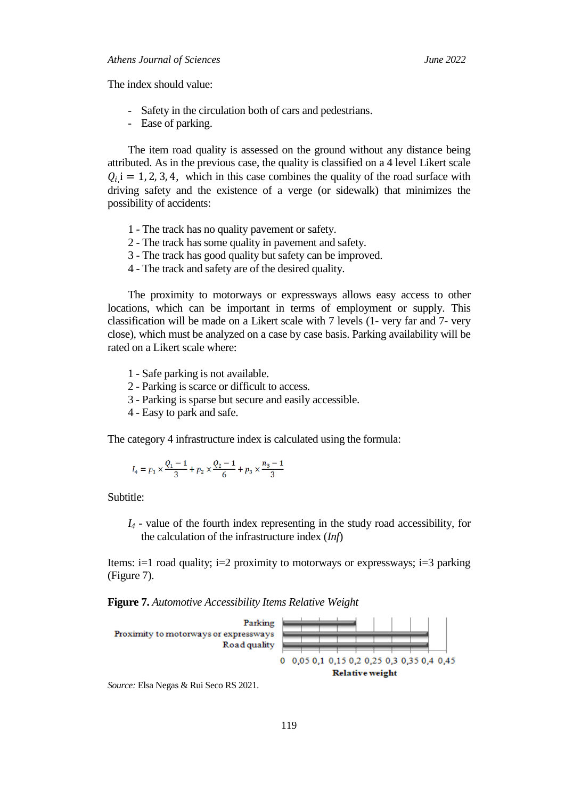The index should value:

- Safety in the circulation both of cars and pedestrians.
- Ease of parking.

The item road quality is assessed on the ground without any distance being attributed. As in the previous case, the quality is classified on a 4 level Likert scale  $Q_{i}$ , i = 1, 2, 3, 4, which in this case combines the quality of the road surface with driving safety and the existence of a verge (or sidewalk) that minimizes the possibility of accidents:

- 1 The track has no quality pavement or safety.
- 2 The track has some quality in pavement and safety.
- 3 The track has good quality but safety can be improved.
- 4 The track and safety are of the desired quality.

The proximity to motorways or expressways allows easy access to other locations, which can be important in terms of employment or supply. This classification will be made on a Likert scale with 7 levels (1- very far and 7- very close), which must be analyzed on a case by case basis. Parking availability will be rated on a Likert scale where:

- 1 Safe parking is not available.
- 2 Parking is scarce or difficult to access.
- 3 Parking is sparse but secure and easily accessible.
- 4 Easy to park and safe.

The category 4 infrastructure index is calculated using the formula:

$$
I_4 = p_1 \times \frac{Q_1 - 1}{3} + p_2 \times \frac{Q_2 - 1}{6} + p_3 \times \frac{n_3 - 1}{3}
$$

Subtitle:

*I4* - value of the fourth index representing in the study road accessibility, for the calculation of the infrastructure index (*Inf*)

Items:  $i=1$  road quality;  $i=2$  proximity to motorways or expressways;  $i=3$  parking (Figure 7).

**Figure 7.** *Automotive Accessibility Items Relative Weight*



*Source:* Elsa Negas & Rui Seco RS 2021.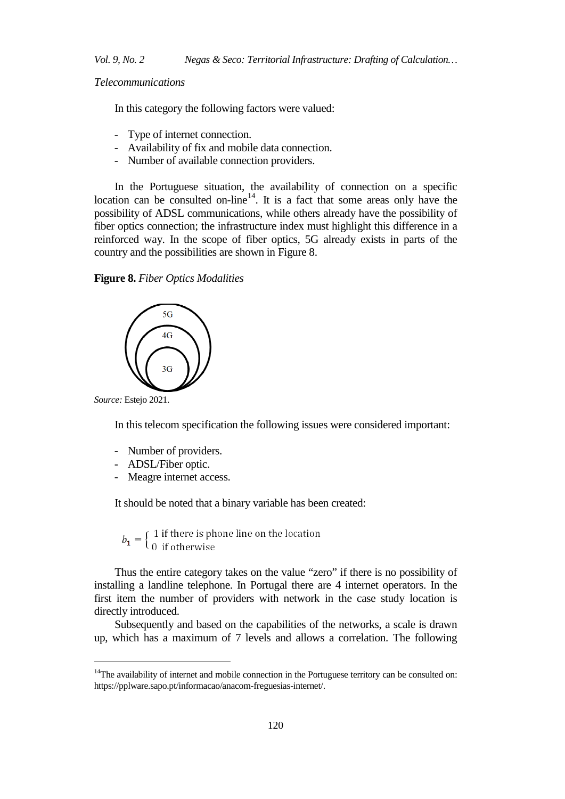*Telecommunications*

In this category the following factors were valued:

- Type of internet connection.
- Availability of fix and mobile data connection.
- Number of available connection providers.

In the Portuguese situation, the availability of connection on a specific location can be consulted on-line<sup>[14](#page-13-0)</sup>. It is a fact that some areas only have the possibility of ADSL communications, while others already have the possibility of fiber optics connection; the infrastructure index must highlight this difference in a reinforced way. In the scope of fiber optics, 5G already exists in parts of the country and the possibilities are shown in Figure 8.

#### **Figure 8.** *Fiber Optics Modalities*



*Source:* Estejo 2021.

j

In this telecom specification the following issues were considered important:

- Number of providers.
- ADSL/Fiber optic.
- Meagre internet access.

It should be noted that a binary variable has been created:

 $b_1 = \left\{ \begin{array}{ll} 1 \text{ if there is phone line on the location} \\ 0 \text{ if otherwise} \end{array} \right.$ 

Thus the entire category takes on the value "zero" if there is no possibility of installing a landline telephone. In Portugal there are 4 internet operators. In the first item the number of providers with network in the case study location is directly introduced.

Subsequently and based on the capabilities of the networks, a scale is drawn up, which has a maximum of 7 levels and allows a correlation. The following

<span id="page-13-0"></span> $14$ The availability of internet and mobile connection in the Portuguese territory can be consulted on: https://pplware.sapo.pt/informacao/anacom-freguesias-internet/.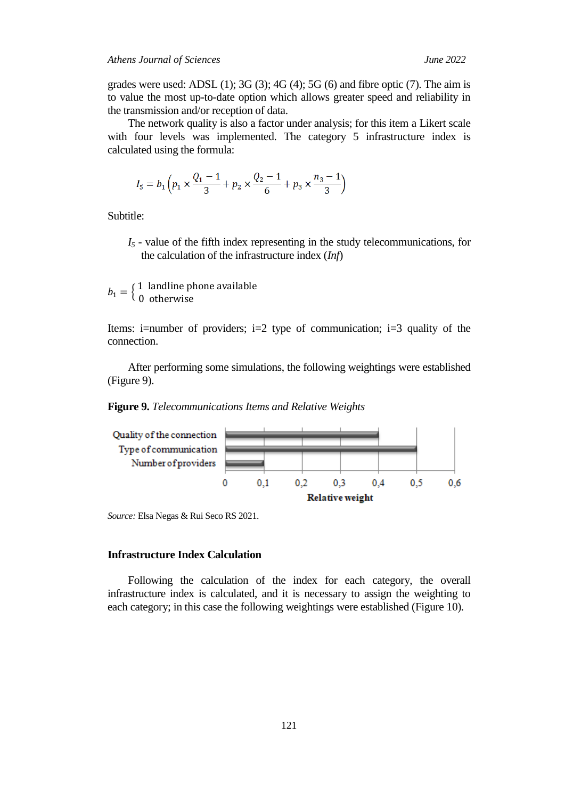grades were used: ADSL  $(1)$ ;  $3G(3)$ ;  $4G(4)$ ;  $5G(6)$  and fibre optic  $(7)$ . The aim is to value the most up-to-date option which allows greater speed and reliability in the transmission and/or reception of data.

The network quality is also a factor under analysis; for this item a Likert scale with four levels was implemented. The category 5 infrastructure index is calculated using the formula:

$$
I_5 = b_1 \left( p_1 \times \frac{Q_1 - 1}{3} + p_2 \times \frac{Q_2 - 1}{6} + p_3 \times \frac{n_3 - 1}{3} \right)
$$

Subtitle:

*I5* - value of the fifth index representing in the study telecommunications, for the calculation of the infrastructure index (*Inf*)

 $b_1 = \left\{ \begin{array}{ll} 1 & \text{landline phone available} \\ 0 & \text{otherwise} \end{array} \right.$ 

Items: i=number of providers; i=2 type of communication; i=3 quality of the connection.

After performing some simulations, the following weightings were established (Figure 9).

**Figure 9.** *Telecommunications Items and Relative Weights*



*Source:* Elsa Negas & Rui Seco RS 2021.

# **Infrastructure Index Calculation**

Following the calculation of the index for each category, the overall infrastructure index is calculated, and it is necessary to assign the weighting to each category; in this case the following weightings were established (Figure 10).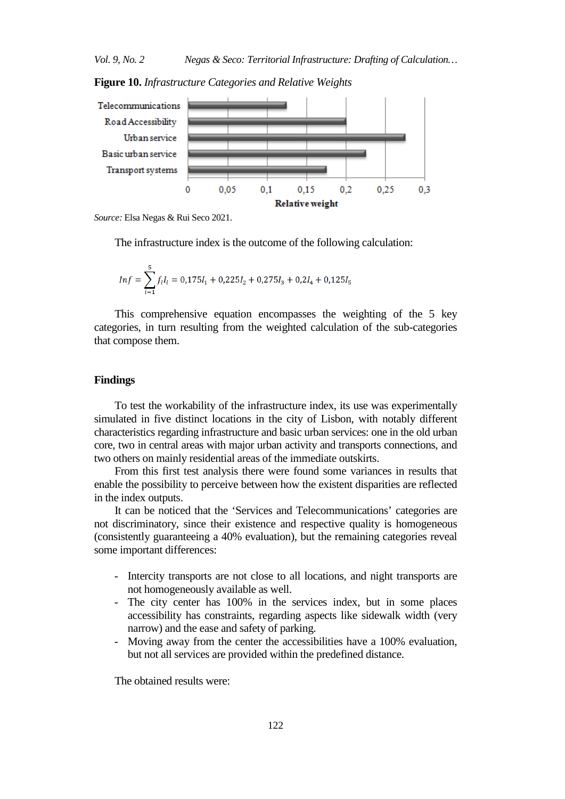**Figure 10.** *Infrastructure Categories and Relative Weights*



*Source:* Elsa Negas & Rui Seco 2021.

The infrastructure index is the outcome of the following calculation:

$$
Inf = \sum_{i=1}^{5} f_i I_i = 0,175I_1 + 0,225I_2 + 0,275I_3 + 0,2I_4 + 0,125I_5
$$

This comprehensive equation encompasses the weighting of the 5 key categories, in turn resulting from the weighted calculation of the sub-categories that compose them.

## **Findings**

To test the workability of the infrastructure index, its use was experimentally simulated in five distinct locations in the city of Lisbon, with notably different characteristics regarding infrastructure and basic urban services: one in the old urban core, two in central areas with major urban activity and transports connections, and two others on mainly residential areas of the immediate outskirts.

From this first test analysis there were found some variances in results that enable the possibility to perceive between how the existent disparities are reflected in the index outputs.

It can be noticed that the 'Services and Telecommunications' categories are not discriminatory, since their existence and respective quality is homogeneous (consistently guaranteeing a 40% evaluation), but the remaining categories reveal some important differences:

- Intercity transports are not close to all locations, and night transports are not homogeneously available as well.
- The city center has 100% in the services index, but in some places accessibility has constraints, regarding aspects like sidewalk width (very narrow) and the ease and safety of parking.
- Moving away from the center the accessibilities have a 100% evaluation, but not all services are provided within the predefined distance.

The obtained results were: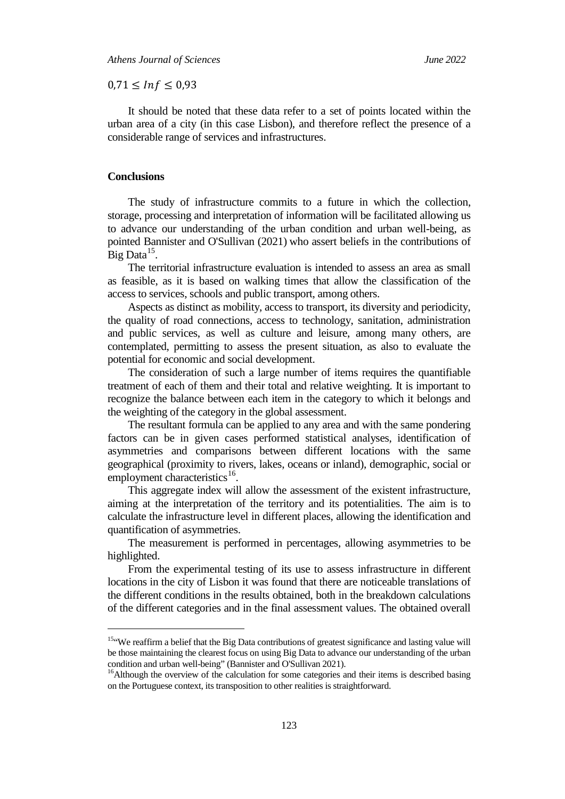$0.71 \leq Inf \leq 0.93$ 

It should be noted that these data refer to a set of points located within the urban area of a city (in this case Lisbon), and therefore reflect the presence of a considerable range of services and infrastructures.

## **Conclusions**

j

The study of infrastructure commits to a future in which the collection, storage, processing and interpretation of information will be facilitated allowing us to advance our understanding of the urban condition and urban well-being, as pointed Bannister and O'Sullivan (2021) who assert beliefs in the contributions of Big Data $^{15}$  $^{15}$  $^{15}$ .

The territorial infrastructure evaluation is intended to assess an area as small as feasible, as it is based on walking times that allow the classification of the access to services, schools and public transport, among others.

Aspects as distinct as mobility, access to transport, its diversity and periodicity, the quality of road connections, access to technology, sanitation, administration and public services, as well as culture and leisure, among many others, are contemplated, permitting to assess the present situation, as also to evaluate the potential for economic and social development.

The consideration of such a large number of items requires the quantifiable treatment of each of them and their total and relative weighting. It is important to recognize the balance between each item in the category to which it belongs and the weighting of the category in the global assessment.

The resultant formula can be applied to any area and with the same pondering factors can be in given cases performed statistical analyses, identification of asymmetries and comparisons between different locations with the same geographical (proximity to rivers, lakes, oceans or inland), demographic, social or employment characteristics<sup>16</sup>.

This aggregate index will allow the assessment of the existent infrastructure, aiming at the interpretation of the territory and its potentialities. The aim is to calculate the infrastructure level in different places, allowing the identification and quantification of asymmetries.

The measurement is performed in percentages, allowing asymmetries to be highlighted.

From the experimental testing of its use to assess infrastructure in different locations in the city of Lisbon it was found that there are noticeable translations of the different conditions in the results obtained, both in the breakdown calculations of the different categories and in the final assessment values. The obtained overall

<span id="page-16-0"></span><sup>&</sup>lt;sup>15"</sup>We reaffirm a belief that the Big Data contributions of greatest significance and lasting value will be those maintaining the clearest focus on using Big Data to advance our understanding of the urban condition and urban well-being" (Bannister and O'Sullivan 2021).<br><sup>16</sup>Although the overview of the calculation for some categories and their items is described basing

<span id="page-16-1"></span>on the Portuguese context, its transposition to other realities is straightforward.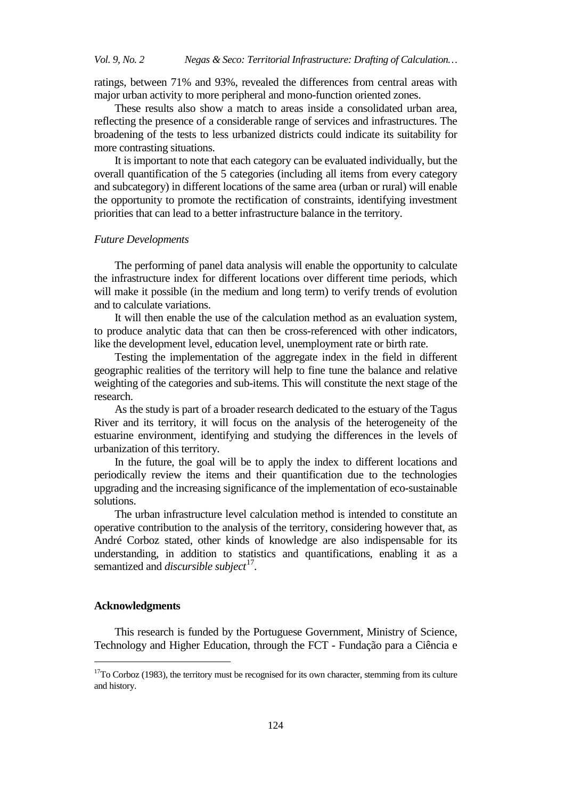ratings, between 71% and 93%, revealed the differences from central areas with major urban activity to more peripheral and mono-function oriented zones.

These results also show a match to areas inside a consolidated urban area, reflecting the presence of a considerable range of services and infrastructures. The broadening of the tests to less urbanized districts could indicate its suitability for more contrasting situations.

It is important to note that each category can be evaluated individually, but the overall quantification of the 5 categories (including all items from every category and subcategory) in different locations of the same area (urban or rural) will enable the opportunity to promote the rectification of constraints, identifying investment priorities that can lead to a better infrastructure balance in the territory.

#### *Future Developments*

The performing of panel data analysis will enable the opportunity to calculate the infrastructure index for different locations over different time periods, which will make it possible (in the medium and long term) to verify trends of evolution and to calculate variations.

It will then enable the use of the calculation method as an evaluation system, to produce analytic data that can then be cross-referenced with other indicators, like the development level, education level, unemployment rate or birth rate.

Testing the implementation of the aggregate index in the field in different geographic realities of the territory will help to fine tune the balance and relative weighting of the categories and sub-items. This will constitute the next stage of the research.

As the study is part of a broader research dedicated to the estuary of the Tagus River and its territory, it will focus on the analysis of the heterogeneity of the estuarine environment, identifying and studying the differences in the levels of urbanization of this territory.

In the future, the goal will be to apply the index to different locations and periodically review the items and their quantification due to the technologies upgrading and the increasing significance of the implementation of eco-sustainable solutions.

The urban infrastructure level calculation method is intended to constitute an operative contribution to the analysis of the territory, considering however that, as André Corboz stated, other kinds of knowledge are also indispensable for its understanding, in addition to statistics and quantifications, enabling it as a semantized and *discursible subject*<sup>[17](#page-17-0)</sup>.

# **Acknowledgments**

j

This research is funded by the Portuguese Government, Ministry of Science, Technology and Higher Education, through the FCT - Fundação para a Ciência e

<span id="page-17-0"></span> $17$ To Corboz (1983), the territory must be recognised for its own character, stemming from its culture and history.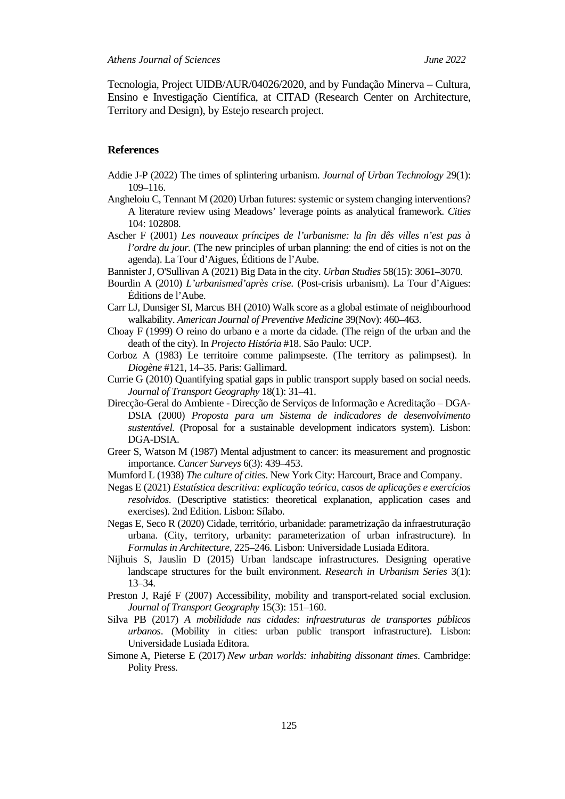Tecnologia, Project UIDB/AUR/04026/2020, and by Fundação Minerva – Cultura, Ensino e Investigação Científica, at CITAD (Research Center on Architecture, Territory and Design), by Estejo research project.

# **References**

- Addie J-P (2022) The times of splintering urbanism. *Journal of Urban Technology* 29(1): 109–116.
- Angheloiu C, Tennant M (2020) Urban futures: systemic or system changing interventions? A literature review using Meadows' leverage points as analytical framework. *Cities* 104: 102808.
- Ascher F (2001) *Les nouveaux príncipes de l'urbanisme: la fin dês villes n'est pas à l'ordre du jour.* (The new principles of urban planning: the end of cities is not on the agenda). La Tour d'Aigues, Éditions de l'Aube.
- Bannister J[, O'Sullivan A](https://www.webofscience.com/wos/author/record/1487332) (2021) Big Data in the city. *Urban Studies* 58(15): 3061–3070.
- Bourdin A (2010) *L'urbanismed'après crise.* (Post-crisis urbanism). La Tour d'Aigues: Éditions de l'Aube.
- Carr LJ, Dunsiger SI, Marcus BH (2010) Walk score as a global estimate of neighbourhood walkability. *American Journal of Preventive Medicine* 39(Nov): 460–463.
- Choay F (1999) O reino do urbano e a morte da cidade. (The reign of the urban and the death of the city). In *Projecto História* #18. São Paulo: UCP.
- Corboz A (1983) Le territoire comme palimpseste. (The territory as palimpsest). In *Diogène* #121, 14–35. Paris: Gallimard.
- Currie G (2010) Quantifying spatial gaps in public transport supply based on social needs. *Journal of Transport Geography* 18(1): 31–41.
- Direcção-Geral do Ambiente Direcção de Serviços de Informação e Acreditação DGA-DSIA (2000) *Proposta para um Sistema de indicadores de desenvolvimento sustentável.* (Proposal for a sustainable development indicators system). Lisbon: DGA-DSIA.
- Greer S, Watson M (1987) Mental adjustment to cancer: its measurement and prognostic importance. *Cancer Surveys* 6(3): 439–453.
- Mumford L (1938) *The culture of cities*. New York City: Harcourt, Brace and Company.
- Negas E (2021) *Estatística descritiva: explicação teórica, casos de aplicações e exercícios resolvidos*. (Descriptive statistics: theoretical explanation, application cases and exercises). 2nd Edition. Lisbon: Sílabo.
- Negas E, Seco R (2020) Cidade, território, urbanidade: parametrização da infraestruturação urbana. (City, territory, urbanity: parameterization of urban infrastructure). In *Formulas in Architecture*, 225–246. Lisbon: Universidade Lusiada Editora.
- Nijhuis S, Jauslin D (2015) Urban landscape infrastructures. Designing operative landscape structures for the built environment. *Research in Urbanism Series* 3(1): 13–34.
- Preston J, Rajé F (2007) Accessibility, mobility and transport-related social exclusion. *Journal of Transport Geography* 15(3): 151–160.
- Silva PB (2017) *A mobilidade nas cidades: infraestruturas de transportes públicos urbanos*. (Mobility in cities: urban public transport infrastructure). Lisbon: Universidade Lusiada Editora.
- Simone A, Pieterse E (2017) *New urban worlds: inhabiting dissonant times*. Cambridge: Polity Press.